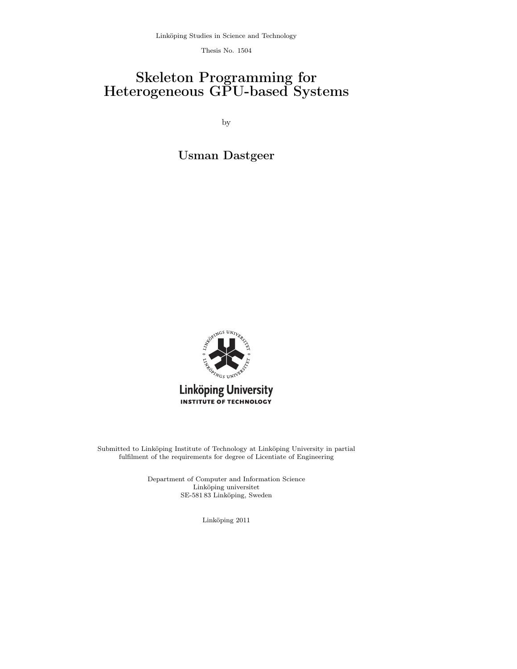Thesis No. 1504

## Skeleton Programming for Heterogeneous GPU-based Systems

by

## Usman Dastgeer



Submitted to Linköping Institute of Technology at Linköping University in partial fulfilment of the requirements for degree of Licentiate of Engineering

> Department of Computer and Information Science Linköping universitet SE-581 83 Linköping, Sweden

> > Linköping 2011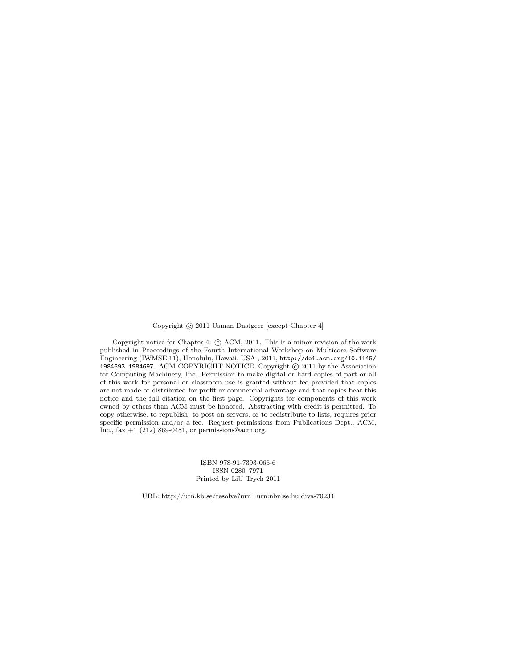Copyright �c 2011 Usman Dastgeer [except Chapter 4]

Copyright notice for Chapter 4: �c ACM, 2011. This is a minor revision of the work published in Proceedings of the Fourth International Workshop on Multicore Software Engineering (IWMSE'11), Honolulu, Hawaii, USA , 2011, http://doi.acm.org/10.1145/ 1984693.1984697. ACM COPYRIGHT NOTICE. Copyright �c 2011 by the Association for Computing Machinery, Inc. Permission to make digital or hard copies of part or all of this work for personal or classroom use is granted without fee provided that copies are not made or distributed for profit or commercial advantage and that copies bear this notice and the full citation on the first page. Copyrights for components of this work owned by others than ACM must be honored. Abstracting with credit is permitted. To copy otherwise, to republish, to post on servers, or to redistribute to lists, requires prior specific permission and/or a fee. Request permissions from Publications Dept., ACM, Inc., fax  $+1$  (212) 869-0481, or permissions@acm.org.

> ISBN 978-91-7393-066-6 ISSN 0280–7971 Printed by LiU Tryck 2011

URL: http://urn.kb.se/resolve?urn=urn:nbn:se:liu:diva-70234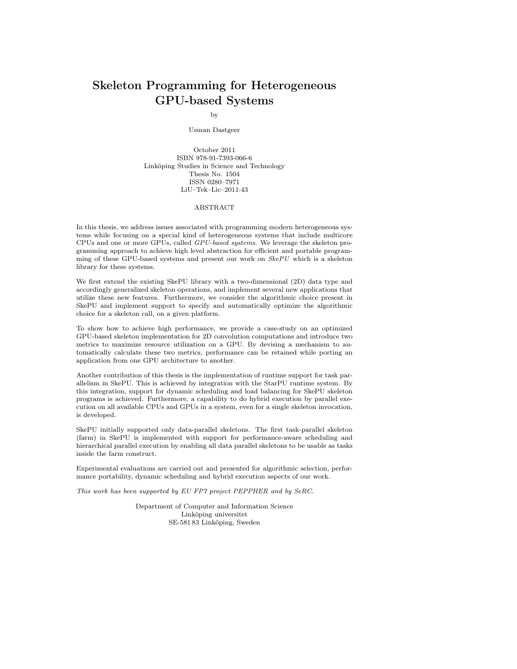## Skeleton Programming for Heterogeneous GPU-based Systems

#### by

Usman Dastgeer

October 2011 ISBN 978-91-7393-066-6 Linköping Studies in Science and Technology Thesis No. 1504 ISSN 0280–7971 LiU–Tek–Lic–2011:43

#### ABSTRACT

In this thesis, we address issues associated with programming modern heterogeneous systems while focusing on a special kind of heterogeneous systems that include multicore CPUs and one or more GPUs, called GPU-based systems. We leverage the skeleton programming approach to achieve high level abstraction for efficient and portable programming of these GPU-based systems and present our work on SkePU which is a skeleton library for these systems.

We first extend the existing SkePU library with a two-dimensional (2D) data type and accordingly generalized skeleton operations, and implement several new applications that utilize these new features. Furthermore, we consider the algorithmic choice present in SkePU and implement support to specify and automatically optimize the algorithmic choice for a skeleton call, on a given platform.

To show how to achieve high performance, we provide a case-study on an optimized GPU-based skeleton implementation for 2D convolution computations and introduce two metrics to maximize resource utilization on a GPU. By devising a mechanism to automatically calculate these two metrics, performance can be retained while porting an application from one GPU architecture to another.

Another contribution of this thesis is the implementation of runtime support for task parallelism in SkePU. This is achieved by integration with the StarPU runtime system. By this integration, support for dynamic scheduling and load balancing for SkePU skeleton programs is achieved. Furthermore, a capability to do hybrid execution by parallel execution on all available CPUs and GPUs in a system, even for a single skeleton invocation, is developed.

SkePU initially supported only data-parallel skeletons. The first task-parallel skeleton (farm) in SkePU is implemented with support for performance-aware scheduling and hierarchical parallel execution by enabling all data parallel skeletons to be usable as tasks inside the farm construct.

Experimental evaluations are carried out and presented for algorithmic selection, performance portability, dynamic scheduling and hybrid execution aspects of our work.

This work has been supported by EU FP7 project PEPPHER and by SeRC.

Department of Computer and Information Science Linköping universitet SE-581 83 Linköping, Sweden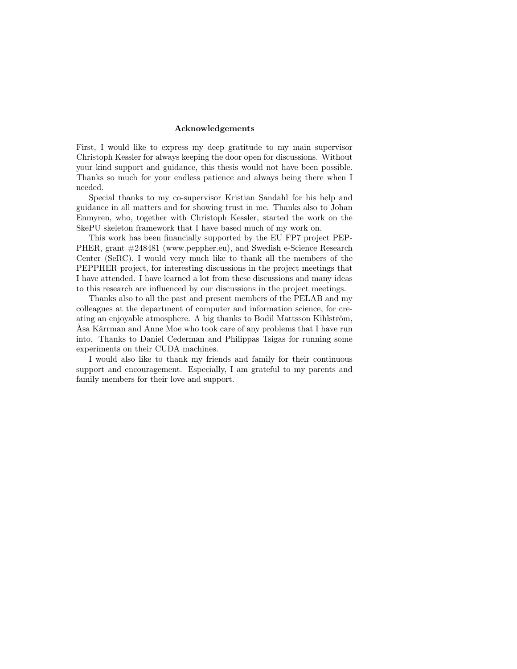#### Acknowledgements

First, I would like to express my deep gratitude to my main supervisor Christoph Kessler for always keeping the door open for discussions. Without your kind support and guidance, this thesis would not have been possible. Thanks so much for your endless patience and always being there when I needed.

Special thanks to my co-supervisor Kristian Sandahl for his help and guidance in all matters and for showing trust in me. Thanks also to Johan Enmyren, who, together with Christoph Kessler, started the work on the SkePU skeleton framework that I have based much of my work on.

This work has been financially supported by the EU FP7 project PEP-PHER, grant  $\#248481$  (www.peppher.eu), and Swedish e-Science Research Center (SeRC). I would very much like to thank all the members of the PEPPHER project, for interesting discussions in the project meetings that I have attended. I have learned a lot from these discussions and many ideas to this research are influenced by our discussions in the project meetings.

Thanks also to all the past and present members of the PELAB and my colleagues at the department of computer and information science, for creating an enjoyable atmosphere. A big thanks to Bodil Mattsson Kihlström, Åsa Kärrman and Anne Moe who took care of any problems that I have run into. Thanks to Daniel Cederman and Philippas Tsigas for running some experiments on their CUDA machines.

I would also like to thank my friends and family for their continuous support and encouragement. Especially, I am grateful to my parents and family members for their love and support.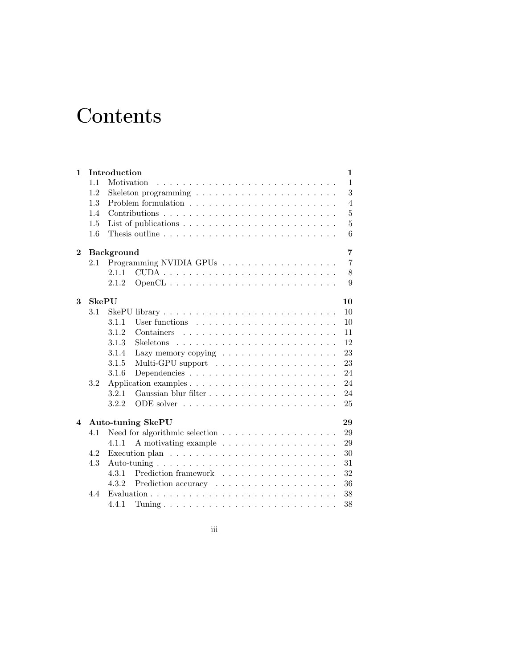# **Contents**

| 1            |              | Introduction                                                                            | 1              |
|--------------|--------------|-----------------------------------------------------------------------------------------|----------------|
|              | 1.1          | Motivation                                                                              | $\mathbf{1}$   |
|              | 1.2          |                                                                                         | 3              |
|              | 1.3          |                                                                                         | $\overline{4}$ |
|              | 1.4          |                                                                                         | $\overline{5}$ |
|              | 1.5          | List of publications $\ldots \ldots \ldots \ldots \ldots \ldots \ldots$                 | 5              |
|              | 1.6          |                                                                                         | 6              |
| $\mathbf{2}$ |              | <b>Background</b>                                                                       | 7              |
|              | 2.1          | Programming NVIDIA GPUs                                                                 | 7              |
|              |              | 2.1.1                                                                                   | 8              |
|              |              | 2.1.2<br>OpenCL                                                                         | 9              |
| 3            | <b>SkePU</b> |                                                                                         | 10             |
|              | 3.1          |                                                                                         | 10             |
|              |              | 3.1.1<br>User functions $\ldots$ , $\ldots$ , $\ldots$ , $\ldots$ , $\ldots$ , $\ldots$ | 10             |
|              |              | 3.1.2<br>Containers                                                                     | 11             |
|              |              | 3.1.3<br><b>Skeletons</b>                                                               | 12             |
|              |              | 3.1.4                                                                                   | 23             |
|              |              | 3.1.5<br>Multi-GPU support $\dots \dots \dots \dots \dots \dots$                        | 23             |
|              |              | 3.1.6                                                                                   | 24             |
|              | 3.2          |                                                                                         | 24             |
|              |              | 3.2.1                                                                                   | 24             |
|              |              | 3.2.2                                                                                   | 25             |
| 4            |              | <b>Auto-tuning SkePU</b>                                                                | 29             |
|              | 4.1          | Need for algorithmic selection                                                          | 29             |
|              |              | 4.1.1                                                                                   | 29             |
|              | 4.2          |                                                                                         | 30             |
|              | 4.3          |                                                                                         | 31             |
|              |              | 4.3.1                                                                                   | 32             |
|              |              | 4.3.2                                                                                   | 36             |
|              | 4.4          |                                                                                         | 38             |
|              |              | 4.4.1                                                                                   | 38             |

iii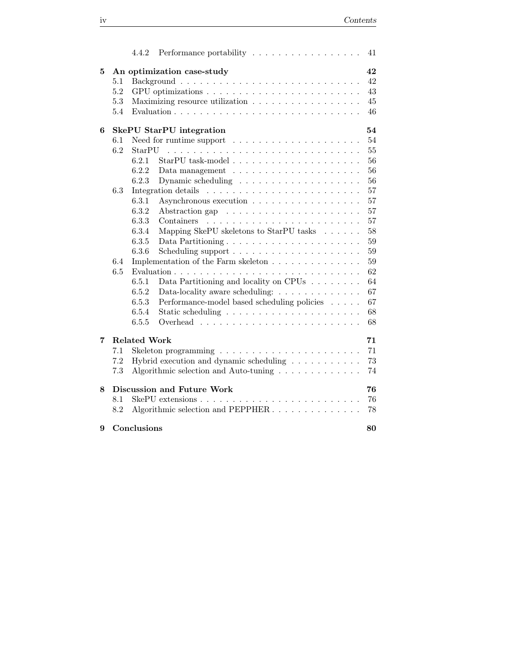|   |                            | 4.4.2<br>41                                                                          |  |  |
|---|----------------------------|--------------------------------------------------------------------------------------|--|--|
| 5 | An optimization case-study |                                                                                      |  |  |
|   | 5.1                        | 42                                                                                   |  |  |
|   | 5.2                        | 43                                                                                   |  |  |
|   | 5.3                        | Maximizing resource utilization<br>45                                                |  |  |
|   | 5.4                        | 46                                                                                   |  |  |
| 6 |                            | 54<br><b>SkePU StarPU integration</b>                                                |  |  |
|   | 6.1                        | 54<br>Need for runtime support $\dots \dots \dots \dots \dots \dots \dots$           |  |  |
|   | 6.2                        | 55<br>StarPU                                                                         |  |  |
|   |                            | 6.2.1<br>56                                                                          |  |  |
|   |                            | 6.2.2<br>56<br>Data management $\ldots \ldots \ldots \ldots \ldots \ldots$           |  |  |
|   |                            | 6.2.3<br>Dynamic scheduling $\ldots \ldots \ldots \ldots \ldots \ldots \ldots$<br>56 |  |  |
|   | 6.3                        | 57                                                                                   |  |  |
|   |                            | 6.3.1<br>Asynchronous execution<br>57                                                |  |  |
|   |                            | 6.3.2<br>57                                                                          |  |  |
|   |                            | 6.3.3<br>Containers<br>57                                                            |  |  |
|   |                            | 6.3.4<br>Mapping SkePU skeletons to StarPU tasks<br>58                               |  |  |
|   |                            | 6.3.5<br>59                                                                          |  |  |
|   |                            | 6.3.6<br>59                                                                          |  |  |
|   | 6.4                        | Implementation of the Farm skeleton $\ldots \ldots \ldots \ldots \ldots$<br>59       |  |  |
|   | 6.5                        | 62                                                                                   |  |  |
|   |                            | Data Partitioning and locality on CPUs $\ldots \ldots$<br>6.5.1<br>64                |  |  |
|   |                            | 6.5.2<br>67<br>Data-locality aware scheduling:                                       |  |  |
|   |                            | Performance-model based scheduling policies<br>6.5.3<br>67                           |  |  |
|   |                            | 6.5.4<br>68                                                                          |  |  |
|   |                            | 6.5.5<br>68                                                                          |  |  |
| 7 |                            | <b>Related Work</b><br>71                                                            |  |  |
|   | 7.1                        | 71<br>Skeleton programming $\ldots \ldots \ldots \ldots \ldots \ldots \ldots$        |  |  |
|   | 7.2                        | Hybrid execution and dynamic scheduling $\ldots \ldots \ldots$<br>73                 |  |  |
|   | 7.3                        | Algorithmic selection and Auto-tuning<br>74                                          |  |  |
| 8 |                            | Discussion and Future Work<br>76                                                     |  |  |
|   | 8.1                        | 76                                                                                   |  |  |
|   | 8.2                        | Algorithmic selection and PEPPHER<br>78                                              |  |  |
| 9 |                            | Conclusions<br>80                                                                    |  |  |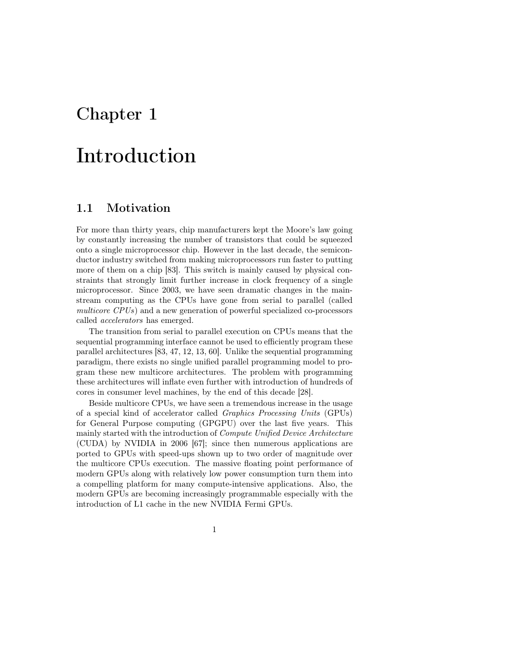## Chapter 1

# Introduction

## 1.1 Motivation

For more than thirty years, chip manufacturers kept the Moore's law going by constantly increasing the number of transistors that could be squeezed onto a single microprocessor chip. However in the last decade, the semiconductor industry switched from making microprocessors run faster to putting more of them on a chip [83]. This switch is mainly caused by physical constraints that strongly limit further increase in clock frequency of a single microprocessor. Since 2003, we have seen dramatic changes in the mainstream computing as the CPUs have gone from serial to parallel (called multicore CPUs) and a new generation of powerful specialized co-processors called accelerators has emerged.

The transition from serial to parallel execution on CPUs means that the sequential programming interface cannot be used to efficiently program these parallel architectures [83, 47, 12, 13, 60]. Unlike the sequential programming paradigm, there exists no single unified parallel programming model to program these new multicore architectures. The problem with programming these architectures will inflate even further with introduction of hundreds of cores in consumer level machines, by the end of this decade [28].

Beside multicore CPUs, we have seen a tremendous increase in the usage of a special kind of accelerator called Graphics Processing Units (GPUs) for General Purpose computing (GPGPU) over the last five years. This mainly started with the introduction of Compute Unified Device Architecture (CUDA) by NVIDIA in 2006 [67]; since then numerous applications are ported to GPUs with speed-ups shown up to two order of magnitude over the multicore CPUs execution. The massive floating point performance of modern GPUs along with relatively low power consumption turn them into a compelling platform for many compute-intensive applications. Also, the modern GPUs are becoming increasingly programmable especially with the introduction of L1 cache in the new NVIDIA Fermi GPUs.

1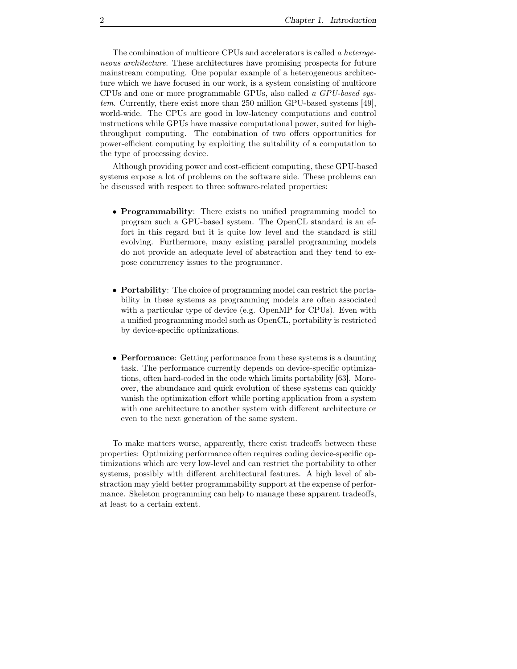The combination of multicore CPUs and accelerators is called a heterogeneous architecture. These architectures have promising prospects for future mainstream computing. One popular example of a heterogeneous architecture which we have focused in our work, is a system consisting of multicore CPUs and one or more programmable GPUs, also called a GPU-based system. Currently, there exist more than 250 million GPU-based systems [49], world-wide. The CPUs are good in low-latency computations and control instructions while GPUs have massive computational power, suited for highthroughput computing. The combination of two offers opportunities for power-efficient computing by exploiting the suitability of a computation to the type of processing device.

Although providing power and cost-efficient computing, these GPU-based systems expose a lot of problems on the software side. These problems can be discussed with respect to three software-related properties:

- Programmability: There exists no unified programming model to program such a GPU-based system. The OpenCL standard is an effort in this regard but it is quite low level and the standard is still evolving. Furthermore, many existing parallel programming models do not provide an adequate level of abstraction and they tend to expose concurrency issues to the programmer.
- Portability: The choice of programming model can restrict the portability in these systems as programming models are often associated with a particular type of device (e.g. OpenMP for CPUs). Even with a unified programming model such as OpenCL, portability is restricted by device-specific optimizations.
- Performance: Getting performance from these systems is a daunting task. The performance currently depends on device-specific optimizations, often hard-coded in the code which limits portability [63]. Moreover, the abundance and quick evolution of these systems can quickly vanish the optimization effort while porting application from a system with one architecture to another system with different architecture or even to the next generation of the same system.

To make matters worse, apparently, there exist tradeoffs between these properties: Optimizing performance often requires coding device-specific optimizations which are very low-level and can restrict the portability to other systems, possibly with different architectural features. A high level of abstraction may yield better programmability support at the expense of performance. Skeleton programming can help to manage these apparent tradeoffs, at least to a certain extent.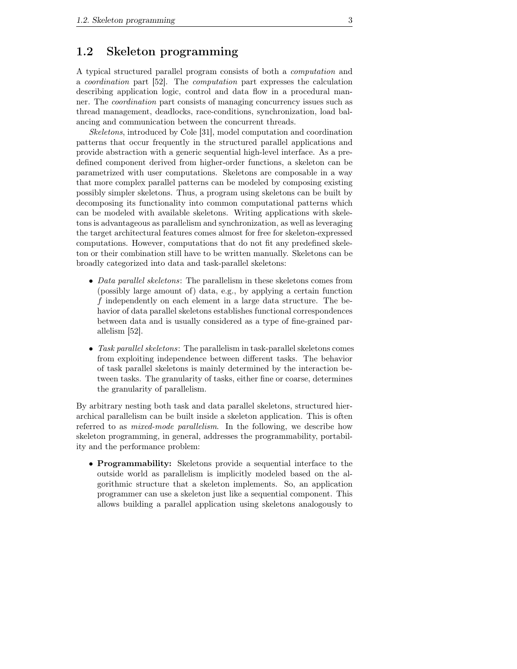## 1.2 Skeleton programming

A typical structured parallel program consists of both a computation and a coordination part [52]. The computation part expresses the calculation describing application logic, control and data flow in a procedural manner. The coordination part consists of managing concurrency issues such as thread management, deadlocks, race-conditions, synchronization, load balancing and communication between the concurrent threads.

Skeletons, introduced by Cole [31], model computation and coordination patterns that occur frequently in the structured parallel applications and provide abstraction with a generic sequential high-level interface. As a predefined component derived from higher-order functions, a skeleton can be parametrized with user computations. Skeletons are composable in a way that more complex parallel patterns can be modeled by composing existing possibly simpler skeletons. Thus, a program using skeletons can be built by decomposing its functionality into common computational patterns which can be modeled with available skeletons. Writing applications with skeletons is advantageous as parallelism and synchronization, as well as leveraging the target architectural features comes almost for free for skeleton-expressed computations. However, computations that do not fit any predefined skeleton or their combination still have to be written manually. Skeletons can be broadly categorized into data and task-parallel skeletons:

- Data parallel skeletons: The parallelism in these skeletons comes from (possibly large amount of) data, e.g., by applying a certain function f independently on each element in a large data structure. The behavior of data parallel skeletons establishes functional correspondences between data and is usually considered as a type of fine-grained parallelism [52].
- Task parallel skeletons: The parallelism in task-parallel skeletons comes from exploiting independence between different tasks. The behavior of task parallel skeletons is mainly determined by the interaction between tasks. The granularity of tasks, either fine or coarse, determines the granularity of parallelism.

By arbitrary nesting both task and data parallel skeletons, structured hierarchical parallelism can be built inside a skeleton application. This is often referred to as mixed-mode parallelism. In the following, we describe how skeleton programming, in general, addresses the programmability, portability and the performance problem:

• Programmability: Skeletons provide a sequential interface to the outside world as parallelism is implicitly modeled based on the algorithmic structure that a skeleton implements. So, an application programmer can use a skeleton just like a sequential component. This allows building a parallel application using skeletons analogously to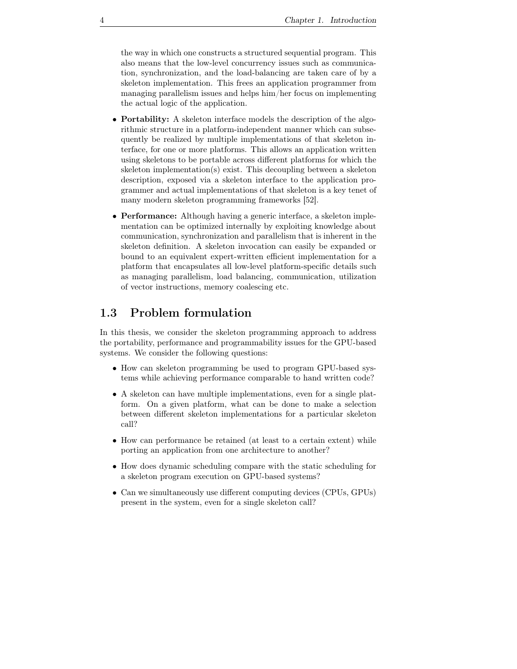the way in which one constructs a structured sequential program. This also means that the low-level concurrency issues such as communication, synchronization, and the load-balancing are taken care of by a skeleton implementation. This frees an application programmer from managing parallelism issues and helps him/her focus on implementing the actual logic of the application.

- Portability: A skeleton interface models the description of the algorithmic structure in a platform-independent manner which can subsequently be realized by multiple implementations of that skeleton interface, for one or more platforms. This allows an application written using skeletons to be portable across different platforms for which the skeleton implementation(s) exist. This decoupling between a skeleton description, exposed via a skeleton interface to the application programmer and actual implementations of that skeleton is a key tenet of many modern skeleton programming frameworks [52].
- **Performance:** Although having a generic interface, a skeleton implementation can be optimized internally by exploiting knowledge about communication, synchronization and parallelism that is inherent in the skeleton definition. A skeleton invocation can easily be expanded or bound to an equivalent expert-written efficient implementation for a platform that encapsulates all low-level platform-specific details such as managing parallelism, load balancing, communication, utilization of vector instructions, memory coalescing etc.

## 1.3 Problem formulation

In this thesis, we consider the skeleton programming approach to address the portability, performance and programmability issues for the GPU-based systems. We consider the following questions:

- How can skeleton programming be used to program GPU-based systems while achieving performance comparable to hand written code?
- A skeleton can have multiple implementations, even for a single platform. On a given platform, what can be done to make a selection between different skeleton implementations for a particular skeleton call?
- How can performance be retained (at least to a certain extent) while porting an application from one architecture to another?
- How does dynamic scheduling compare with the static scheduling for a skeleton program execution on GPU-based systems?
- Can we simultaneously use different computing devices (CPUs, GPUs) present in the system, even for a single skeleton call?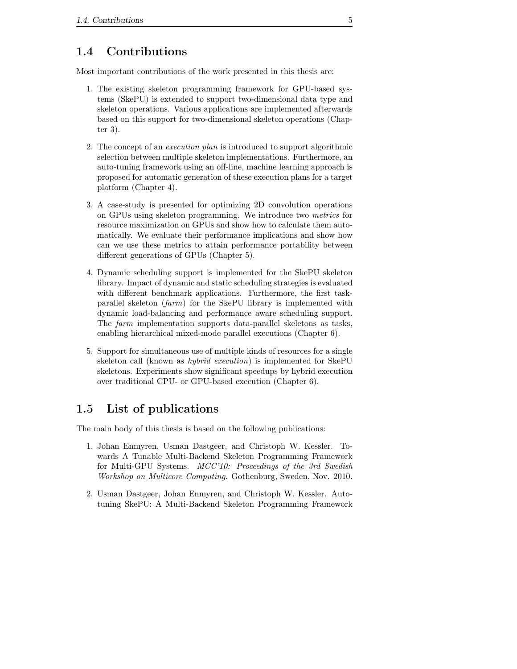## 1.4 Contributions

Most important contributions of the work presented in this thesis are:

- 1. The existing skeleton programming framework for GPU-based systems (SkePU) is extended to support two-dimensional data type and skeleton operations. Various applications are implemented afterwards based on this support for two-dimensional skeleton operations (Chapter 3).
- 2. The concept of an execution plan is introduced to support algorithmic selection between multiple skeleton implementations. Furthermore, an auto-tuning framework using an off-line, machine learning approach is proposed for automatic generation of these execution plans for a target platform (Chapter 4).
- 3. A case-study is presented for optimizing 2D convolution operations on GPUs using skeleton programming. We introduce two metrics for resource maximization on GPUs and show how to calculate them automatically. We evaluate their performance implications and show how can we use these metrics to attain performance portability between different generations of GPUs (Chapter 5).
- 4. Dynamic scheduling support is implemented for the SkePU skeleton library. Impact of dynamic and static scheduling strategies is evaluated with different benchmark applications. Furthermore, the first taskparallel skeleton (farm) for the SkePU library is implemented with dynamic load-balancing and performance aware scheduling support. The farm implementation supports data-parallel skeletons as tasks, enabling hierarchical mixed-mode parallel executions (Chapter 6).
- 5. Support for simultaneous use of multiple kinds of resources for a single skeleton call (known as hybrid execution) is implemented for SkePU skeletons. Experiments show significant speedups by hybrid execution over traditional CPU- or GPU-based execution (Chapter 6).

## 1.5 List of publications

The main body of this thesis is based on the following publications:

- 1. Johan Enmyren, Usman Dastgeer, and Christoph W. Kessler. Towards A Tunable Multi-Backend Skeleton Programming Framework for Multi-GPU Systems. MCC'10: Proceedings of the 3rd Swedish Workshop on Multicore Computing. Gothenburg, Sweden, Nov. 2010.
- 2. Usman Dastgeer, Johan Enmyren, and Christoph W. Kessler. Autotuning SkePU: A Multi-Backend Skeleton Programming Framework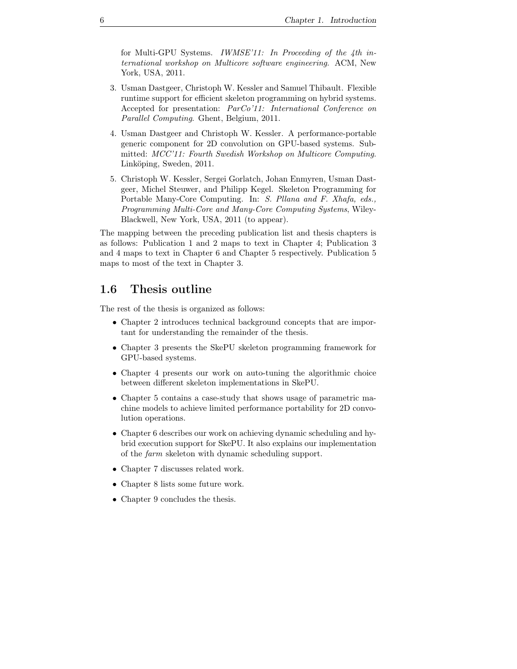for Multi-GPU Systems. *IWMSE'11:* In Proceeding of the 4th international workshop on Multicore software engineering. ACM, New York, USA, 2011.

- 3. Usman Dastgeer, Christoph W. Kessler and Samuel Thibault. Flexible runtime support for efficient skeleton programming on hybrid systems. Accepted for presentation: ParCo'11: International Conference on Parallel Computing. Ghent, Belgium, 2011.
- 4. Usman Dastgeer and Christoph W. Kessler. A performance-portable generic component for 2D convolution on GPU-based systems. Submitted: MCC'11: Fourth Swedish Workshop on Multicore Computing. Linköping, Sweden, 2011.
- 5. Christoph W. Kessler, Sergei Gorlatch, Johan Enmyren, Usman Dastgeer, Michel Steuwer, and Philipp Kegel. Skeleton Programming for Portable Many-Core Computing. In: S. Pllana and F. Xhafa, eds., Programming Multi-Core and Many-Core Computing Systems, Wiley-Blackwell, New York, USA, 2011 (to appear).

The mapping between the preceding publication list and thesis chapters is as follows: Publication 1 and 2 maps to text in Chapter 4; Publication 3 and 4 maps to text in Chapter 6 and Chapter 5 respectively. Publication 5 maps to most of the text in Chapter 3.

## 1.6 Thesis outline

The rest of the thesis is organized as follows:

- Chapter 2 introduces technical background concepts that are important for understanding the remainder of the thesis.
- Chapter 3 presents the SkePU skeleton programming framework for GPU-based systems.
- Chapter 4 presents our work on auto-tuning the algorithmic choice between different skeleton implementations in SkePU.
- Chapter 5 contains a case-study that shows usage of parametric machine models to achieve limited performance portability for 2D convolution operations.
- Chapter 6 describes our work on achieving dynamic scheduling and hybrid execution support for SkePU. It also explains our implementation of the farm skeleton with dynamic scheduling support.
- Chapter 7 discusses related work.
- Chapter 8 lists some future work.
- Chapter 9 concludes the thesis.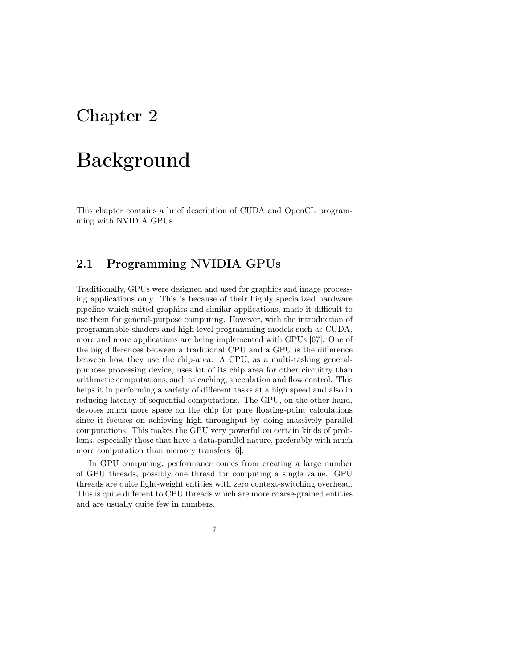## Chapter 2

## Background

This chapter contains a brief description of CUDA and OpenCL programming with NVIDIA GPUs.

## 2.1 Programming NVIDIA GPUs

Traditionally, GPUs were designed and used for graphics and image processing applications only. This is because of their highly specialized hardware pipeline which suited graphics and similar applications, made it difficult to use them for general-purpose computing. However, with the introduction of programmable shaders and high-level programming models such as CUDA, more and more applications are being implemented with GPUs [67]. One of the big differences between a traditional CPU and a GPU is the difference between how they use the chip-area. A CPU, as a multi-tasking generalpurpose processing device, uses lot of its chip area for other circuitry than arithmetic computations, such as caching, speculation and flow control. This helps it in performing a variety of different tasks at a high speed and also in reducing latency of sequential computations. The GPU, on the other hand, devotes much more space on the chip for pure floating-point calculations since it focuses on achieving high throughput by doing massively parallel computations. This makes the GPU very powerful on certain kinds of problems, especially those that have a data-parallel nature, preferably with much more computation than memory transfers [6].

In GPU computing, performance comes from creating a large number of GPU threads, possibly one thread for computing a single value. GPU threads are quite light-weight entities with zero context-switching overhead. This is quite different to CPU threads which are more coarse-grained entities and are usually quite few in numbers.

7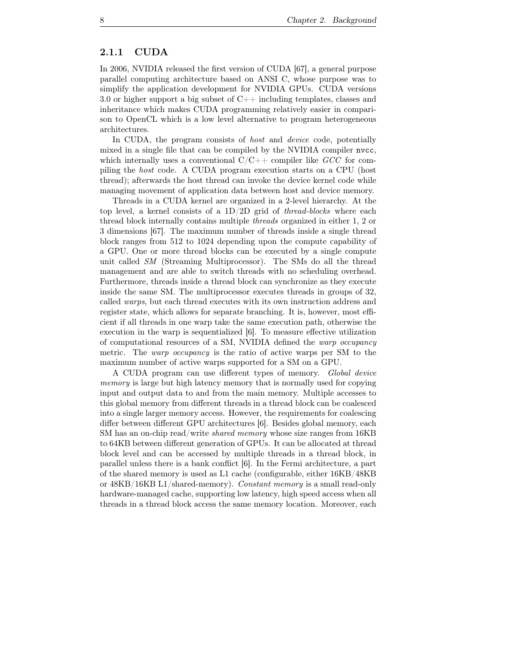### 2.1.1 CUDA

In 2006, NVIDIA released the first version of CUDA [67], a general purpose parallel computing architecture based on ANSI C, whose purpose was to simplify the application development for NVIDIA GPUs. CUDA versions 3.0 or higher support a big subset of  $C_{++}$  including templates, classes and inheritance which makes CUDA programming relatively easier in comparison to OpenCL which is a low level alternative to program heterogeneous architectures.

In CUDA, the program consists of *host* and *device* code, potentially mixed in a single file that can be compiled by the NVIDIA compiler nvcc, which internally uses a conventional  $C/C++$  compiler like  $GCC$  for compiling the host code. A CUDA program execution starts on a CPU (host thread); afterwards the host thread can invoke the device kernel code while managing movement of application data between host and device memory.

Threads in a CUDA kernel are organized in a 2-level hierarchy. At the top level, a kernel consists of a  $1D/2D$  grid of *thread-blocks* where each thread block internally contains multiple threads organized in either 1, 2 or 3 dimensions [67]. The maximum number of threads inside a single thread block ranges from 512 to 1024 depending upon the compute capability of a GPU. One or more thread blocks can be executed by a single compute unit called SM (Streaming Multiprocessor). The SMs do all the thread management and are able to switch threads with no scheduling overhead. Furthermore, threads inside a thread block can synchronize as they execute inside the same SM. The multiprocessor executes threads in groups of 32, called warps, but each thread executes with its own instruction address and register state, which allows for separate branching. It is, however, most efficient if all threads in one warp take the same execution path, otherwise the execution in the warp is sequentialized [6]. To measure effective utilization of computational resources of a SM, NVIDIA defined the warp occupancy metric. The *warp* occupancy is the ratio of active warps per SM to the maximum number of active warps supported for a SM on a GPU.

A CUDA program can use different types of memory. Global device memory is large but high latency memory that is normally used for copying input and output data to and from the main memory. Multiple accesses to this global memory from different threads in a thread block can be coalesced into a single larger memory access. However, the requirements for coalescing differ between different GPU architectures [6]. Besides global memory, each SM has an on-chip read/write *shared memory* whose size ranges from 16KB to 64KB between different generation of GPUs. It can be allocated at thread block level and can be accessed by multiple threads in a thread block, in parallel unless there is a bank conflict [6]. In the Fermi architecture, a part of the shared memory is used as L1 cache (configurable, either 16KB/48KB or  $48KB/16KB L1/shared-memory$ . Constant memory is a small read-only hardware-managed cache, supporting low latency, high speed access when all threads in a thread block access the same memory location. Moreover, each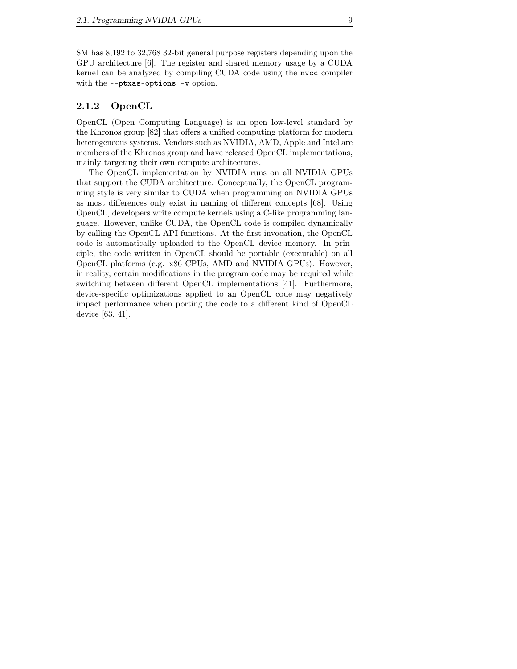SM has 8,192 to 32,768 32-bit general purpose registers depending upon the GPU architecture [6]. The register and shared memory usage by a CUDA kernel can be analyzed by compiling CUDA code using the nvcc compiler with the --ptxas-options -v option.

### 2.1.2 OpenCL

OpenCL (Open Computing Language) is an open low-level standard by the Khronos group [82] that offers a unified computing platform for modern heterogeneous systems. Vendors such as NVIDIA, AMD, Apple and Intel are members of the Khronos group and have released OpenCL implementations, mainly targeting their own compute architectures.

The OpenCL implementation by NVIDIA runs on all NVIDIA GPUs that support the CUDA architecture. Conceptually, the OpenCL programming style is very similar to CUDA when programming on NVIDIA GPUs as most differences only exist in naming of different concepts [68]. Using OpenCL, developers write compute kernels using a C-like programming language. However, unlike CUDA, the OpenCL code is compiled dynamically by calling the OpenCL API functions. At the first invocation, the OpenCL code is automatically uploaded to the OpenCL device memory. In principle, the code written in OpenCL should be portable (executable) on all OpenCL platforms (e.g. x86 CPUs, AMD and NVIDIA GPUs). However, in reality, certain modifications in the program code may be required while switching between different OpenCL implementations [41]. Furthermore, device-specific optimizations applied to an OpenCL code may negatively impact performance when porting the code to a different kind of OpenCL device [63, 41].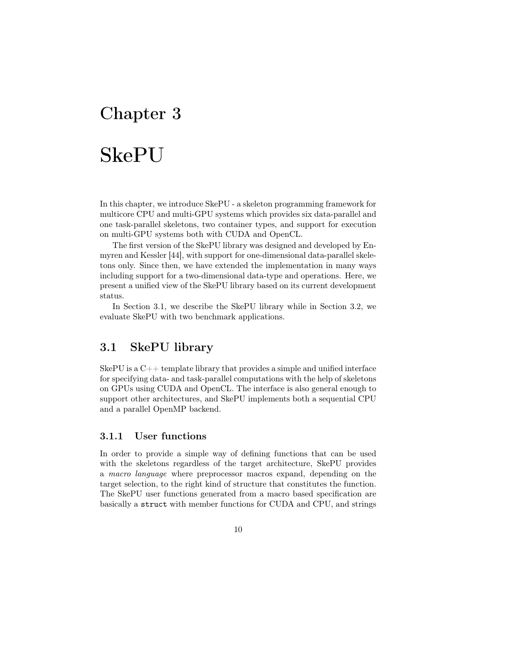## Chapter 3

## SkePU

In this chapter, we introduce SkePU - a skeleton programming framework for multicore CPU and multi-GPU systems which provides six data-parallel and one task-parallel skeletons, two container types, and support for execution on multi-GPU systems both with CUDA and OpenCL.

The first version of the SkePU library was designed and developed by Enmyren and Kessler [44], with support for one-dimensional data-parallel skeletons only. Since then, we have extended the implementation in many ways including support for a two-dimensional data-type and operations. Here, we present a unified view of the SkePU library based on its current development status.

In Section 3.1, we describe the SkePU library while in Section 3.2, we evaluate SkePU with two benchmark applications.

## 3.1 SkePU library

SkePU is a  $C_{++}$  template library that provides a simple and unified interface for specifying data- and task-parallel computations with the help of skeletons on GPUs using CUDA and OpenCL. The interface is also general enough to support other architectures, and SkePU implements both a sequential CPU and a parallel OpenMP backend.

## 3.1.1 User functions

In order to provide a simple way of defining functions that can be used with the skeletons regardless of the target architecture, SkePU provides a macro language where preprocessor macros expand, depending on the target selection, to the right kind of structure that constitutes the function. The SkePU user functions generated from a macro based specification are basically a struct with member functions for CUDA and CPU, and strings

10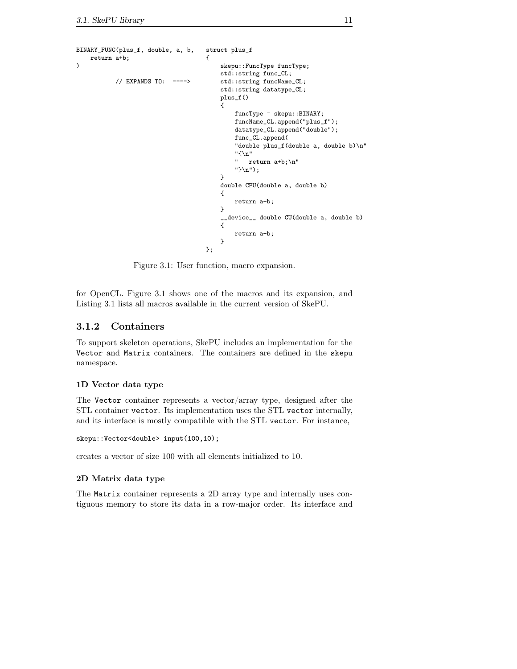```
BINARY_FUNC(plus_f, double, a, b,
    return a+b;
\lambda\frac{7}{2} EXPANDS TO: ====>
                                       struct plus_f
                                        {
                                            skepu::FuncType funcType;
                                            std::string func_CL;
                                            std::string funcName_CL;
                                            std::string datatype_CL;
                                            plus_f()
                                            {
                                                funcType = skepu::BINARY;
                                                funcName_CL.append("plus_f");
                                                datatype_CL.append("double");
                                                func_CL.append(
                                                "double plus_f(double a, double b)\n"
                                                "{\n"
                                                    return a+b; \n\frac{n}{m}"}\n");
                                            }
                                            double CPU(double a, double b)
                                            {
                                                return a+b;
                                            }
                                            __device__ double CU(double a, double b)
                                            {
                                                return a+b;
                                            }
                                       };
```
Figure 3.1: User function, macro expansion.

for OpenCL. Figure 3.1 shows one of the macros and its expansion, and Listing 3.1 lists all macros available in the current version of SkePU.

## 3.1.2 Containers

To support skeleton operations, SkePU includes an implementation for the Vector and Matrix containers. The containers are defined in the skepu namespace.

#### 1D Vector data type

The Vector container represents a vector/array type, designed after the STL container vector. Its implementation uses the STL vector internally, and its interface is mostly compatible with the STL vector. For instance,

```
skepu::Vector<double> input(100,10);
```
creates a vector of size 100 with all elements initialized to 10.

### 2D Matrix data type

The Matrix container represents a 2D array type and internally uses contiguous memory to store its data in a row-major order. Its interface and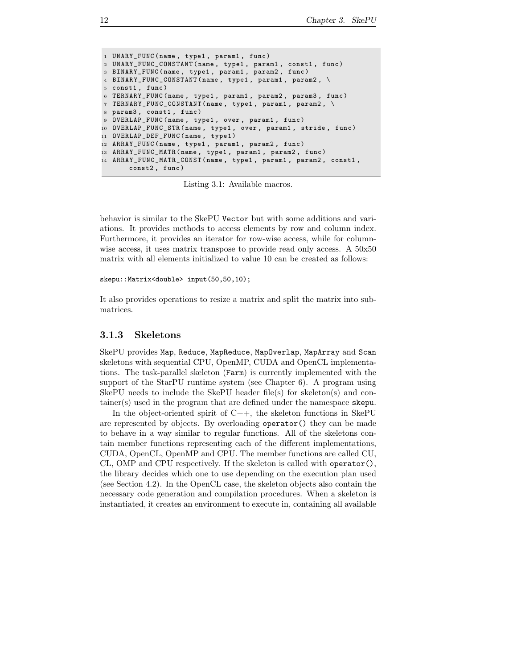```
1 UNARY_FUNC ( name , type1 , param1 , func )
2 UNARY_FUNC_CONSTANT ( name , type1 , param1 , const1 , func )
3 BINARY_FUNC ( name , type1 , param1 , param2 , func )
4 BINARY_FUNC_CONSTANT ( name , type1 , param1 , param2 , \
5 const1 , func )
6 TERNARY_FUNC ( name , type1 , param1 , param2 , param3 , func )
7 TERNARY_FUNC_CONSTANT ( name , type1 , param1 , param2 , \
8 param3 , const1 , func )
  9 OVERLAP_FUNC ( name , type1 , over , param1 , func )
10 OVERLAP_FUNC_STR ( name , type1 , over , param1 , stride , func )
11 OVERLAP_DEF_FUNC ( name , type1 )
12 ARRAY_FUNC (name, type1, param1, param2, func)
13 ARRAY_FUNC_MATR (name, type1, param1, param2, func)
14 ARRAY_FUNC_MATR_CONST (name, type1, param1, param2, const1,
       const2 , func )
```
Listing 3.1: Available macros.

behavior is similar to the SkePU Vector but with some additions and variations. It provides methods to access elements by row and column index. Furthermore, it provides an iterator for row-wise access, while for columnwise access, it uses matrix transpose to provide read only access. A 50x50 matrix with all elements initialized to value 10 can be created as follows:

skepu::Matrix<double> input(50,50,10);

It also provides operations to resize a matrix and split the matrix into submatrices.

#### 3.1.3 Skeletons

SkePU provides Map, Reduce, MapReduce, MapOverlap, MapArray and Scan skeletons with sequential CPU, OpenMP, CUDA and OpenCL implementations. The task-parallel skeleton (Farm) is currently implemented with the support of the StarPU runtime system (see Chapter 6). A program using SkePU needs to include the SkePU header file(s) for skeleton(s) and container(s) used in the program that are defined under the namespace skepu.

In the object-oriented spirit of  $C++$ , the skeleton functions in SkePU are represented by objects. By overloading operator() they can be made to behave in a way similar to regular functions. All of the skeletons contain member functions representing each of the different implementations, CUDA, OpenCL, OpenMP and CPU. The member functions are called CU, CL, OMP and CPU respectively. If the skeleton is called with operator $()$ , the library decides which one to use depending on the execution plan used (see Section 4.2). In the OpenCL case, the skeleton objects also contain the necessary code generation and compilation procedures. When a skeleton is instantiated, it creates an environment to execute in, containing all available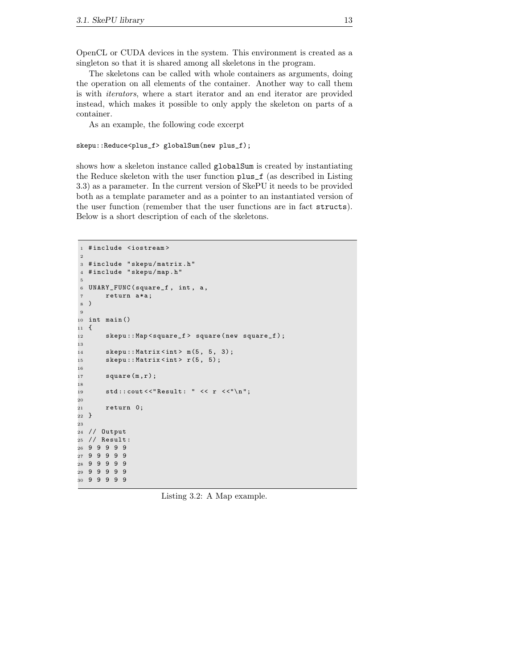OpenCL or CUDA devices in the system. This environment is created as a singleton so that it is shared among all skeletons in the program.

The skeletons can be called with whole containers as arguments, doing the operation on all elements of the container. Another way to call them is with iterators, where a start iterator and an end iterator are provided instead, which makes it possible to only apply the skeleton on parts of a container.

As an example, the following code excerpt

```
skepu::Reduce<plus_f> globalSum(new plus_f);
```
shows how a skeleton instance called globalSum is created by instantiating the Reduce skeleton with the user function plus\_f (as described in Listing 3.3) as a parameter. In the current version of SkePU it needs to be provided both as a template parameter and as a pointer to an instantiated version of the user function (remember that the user functions are in fact structs). Below is a short description of each of the skeletons.

```
1 #include <iostream>
2
3 # include " skepu / matrix .h"
4 #include "skepu/map.h"
 5
6 UNARY_FUNC ( square_f , int , a ,
\begin{array}{cc} 7 & \text{return } a \ast a; \\ 8 & \end{array}\rightarrow9
10 int main ()
11 {
12 skepu:: Map < square_f > square (new square_f);
13
14 skepu:: Matrix < int > m(5, 5, 3);
15 skepu:: Matrix < int > r(5, 5);
16
17 square (m, r);
18
19 std:: cout << " Result: " << r << " \n";
20
21 return 0;
22 }
23
24 // Output
25 // Result:
26 9 9 9 9 9
27 9 9 9 9 9
28 9 9 9 9 9
29 9 9 9 9 9
30 9 9 9 9 9
```
Listing 3.2: A Map example.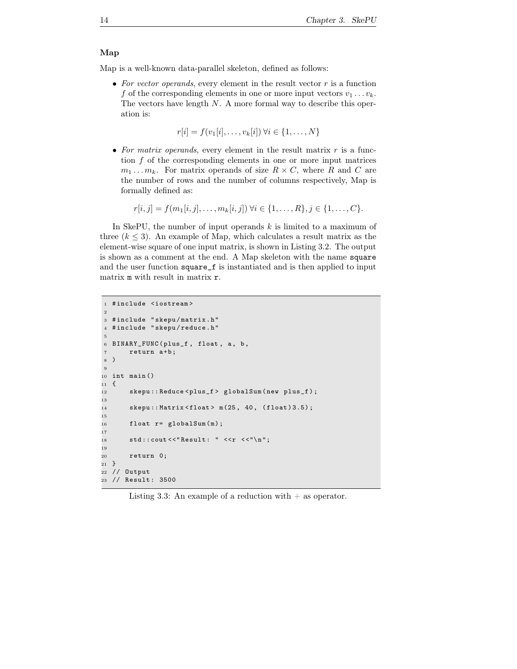#### Map

Map is a well-known data-parallel skeleton, defined as follows:

• For vector operands, every element in the result vector  $r$  is a function f of the corresponding elements in one or more input vectors  $v_1 \ldots v_k$ . The vectors have length N. A more formal way to describe this operation is:

$$
r[i] = f(v_1[i], \dots, v_k[i]) \,\forall i \in \{1, \dots, N\}
$$

• For matrix operands, every element in the result matrix  $r$  is a function f of the corresponding elements in one or more input matrices  $m_1 \ldots m_k$ . For matrix operands of size  $R \times C$ , where R and C are the number of rows and the number of columns respectively, Map is formally defined as:

$$
r[i, j] = f(m_1[i, j], \dots, m_k[i, j]) \,\forall i \in \{1, \dots, R\}, j \in \{1, \dots, C\}.
$$

In SkePU, the number of input operands  $k$  is limited to a maximum of three  $(k \leq 3)$ . An example of Map, which calculates a result matrix as the element-wise square of one input matrix, is shown in Listing 3.2. The output is shown as a comment at the end. A Map skeleton with the name square and the user function square\_f is instantiated and is then applied to input matrix m with result in matrix r.

```
1 # include < iostream >
2
3 # include " skepu / matrix .h"
4 #include "skepu/reduce.h"
5
6 BINARY_FUNC ( plus_f , float , a , b ,
7 return a+b ;
8 )
9
10 int main ()
11 {
12 skepu :: Reduce < plus_f > globalSum ( new plus_f ) ;
13
14 skepu:: Matrix <float > m(25, 40, (float) 3.5);
15
16 float r = globalSum(m);
17
18 \quad std:: cout << " Result: " << r << "\n";
19
20 return 0;
21 }
22 // Output
23 // Result : 3500
```
Listing 3.3: An example of a reduction with  $+$  as operator.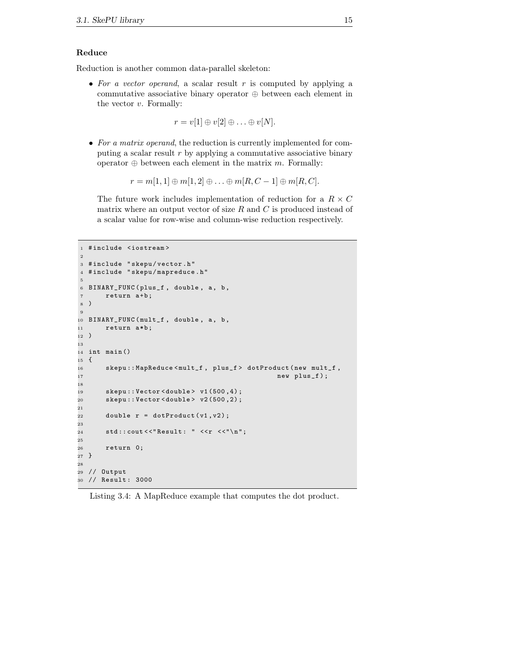#### Reduce

Reduction is another common data-parallel skeleton:

• For a vector operand, a scalar result  $r$  is computed by applying a commutative associative binary operator ⊕ between each element in the vector  $v$ . Formally:

$$
r = v[1] \oplus v[2] \oplus \ldots \oplus v[N].
$$

• For a matrix operand, the reduction is currently implemented for computing a scalar result  $r$  by applying a commutative associative binary operator  $\oplus$  between each element in the matrix m. Formally:

 $r = m[1, 1] \oplus m[1, 2] \oplus \ldots \oplus m[R, C - 1] \oplus m[R, C].$ 

The future work includes implementation of reduction for a  $R \times C$ matrix where an output vector of size  $R$  and  $C$  is produced instead of a scalar value for row-wise and column-wise reduction respectively.

```
1 #include <iostream>
2
3 # include " skepu / vector .h"
4 # include " skepu / mapreduce . h "
5
6 BINARY_FUNC ( plus_f , double , a , b ,
\begin{array}{cc} 7 & \text{return } a+b \; ; \\ 8 & \end{array}\rightarrow9
10 BINARY_FUNC(mult_f, double, a, b,
11 return a*b;
12 )
13
14 int main ()
15 {
16 skepu :: MapReduce < mult_f , plus_f > dotProduct ( new mult_f ,
17 new plus_f);
18
19 skepu :: Vector < double > v1 (500 ,4) ;
20 skepu :: Vector < double > v2 (500 ,2) ;
21
22 double r = dotProduct(v1, v2);23
24 std:: cout << "Result: " << r << "\n";
25
26 return 0;
27 }
28
29 // Output
30 // Result : 3000
```
Listing 3.4: A MapReduce example that computes the dot product.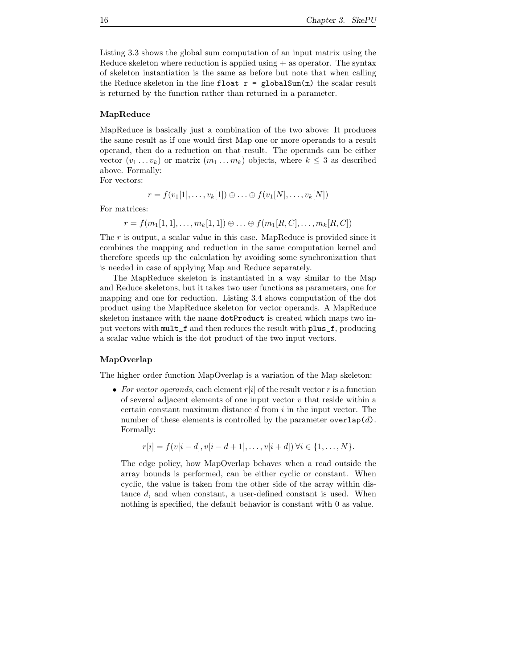Listing 3.3 shows the global sum computation of an input matrix using the Reduce skeleton where reduction is applied using  $+$  as operator. The syntax of skeleton instantiation is the same as before but note that when calling the Reduce skeleton in the line float  $r = \text{globalSum}(m)$  the scalar result is returned by the function rather than returned in a parameter.

#### MapReduce

MapReduce is basically just a combination of the two above: It produces the same result as if one would first Map one or more operands to a result operand, then do a reduction on that result. The operands can be either vector  $(v_1 \ldots v_k)$  or matrix  $(m_1 \ldots m_k)$  objects, where  $k \leq 3$  as described above. Formally:

For vectors:

$$
r = f(v_1[1], \ldots, v_k[1]) \oplus \ldots \oplus f(v_1[N], \ldots, v_k[N])
$$

For matrices:

 $r = f(m_1[1, 1], \ldots, m_k[1, 1]) \oplus \ldots \oplus f(m_1[R, C], \ldots, m_k[R, C])$ 

The  $r$  is output, a scalar value in this case. MapReduce is provided since it combines the mapping and reduction in the same computation kernel and therefore speeds up the calculation by avoiding some synchronization that is needed in case of applying Map and Reduce separately.

The MapReduce skeleton is instantiated in a way similar to the Map and Reduce skeletons, but it takes two user functions as parameters, one for mapping and one for reduction. Listing 3.4 shows computation of the dot product using the MapReduce skeleton for vector operands. A MapReduce skeleton instance with the name dotProduct is created which maps two input vectors with mult\_f and then reduces the result with plus\_f, producing a scalar value which is the dot product of the two input vectors.

### MapOverlap

The higher order function MapOverlap is a variation of the Map skeleton:

• For vector operands, each element  $r[i]$  of the result vector r is a function of several adjacent elements of one input vector  $v$  that reside within a certain constant maximum distance  $d$  from  $i$  in the input vector. The number of these elements is controlled by the parameter overlap( $d$ ). Formally:

$$
r[i] = f(v[i-d], v[i-d+1], \dots, v[i+d]) \,\forall i \in \{1, \dots, N\}.
$$

The edge policy, how MapOverlap behaves when a read outside the array bounds is performed, can be either cyclic or constant. When cyclic, the value is taken from the other side of the array within distance d, and when constant, a user-defined constant is used. When nothing is specified, the default behavior is constant with 0 as value.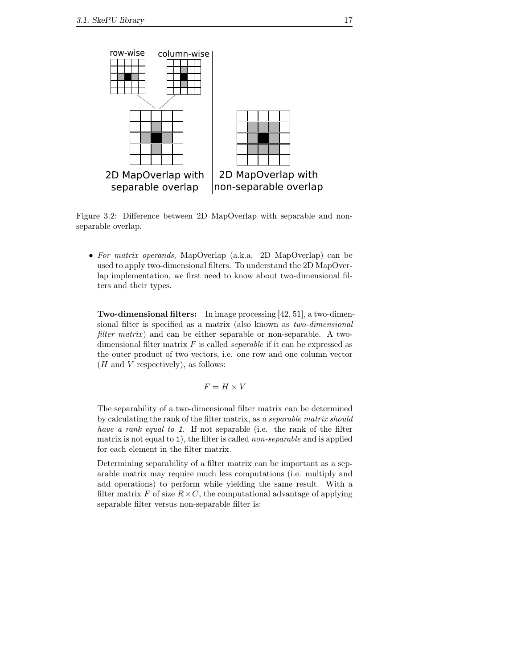

Figure 3.2: Difference between 2D MapOverlap with separable and nonseparable overlap.

• For matrix operands, MapOverlap (a.k.a. 2D MapOverlap) can be used to apply two-dimensional filters. To understand the 2D MapOverlap implementation, we first need to know about two-dimensional filters and their types.

Two-dimensional filters: In image processing [42, 51], a two-dimensional filter is specified as a matrix (also known as two-dimensional  $filter$  matrix) and can be either separable or non-separable. A twodimensional filter matrix  $F$  is called *separable* if it can be expressed as the outer product of two vectors, i.e. one row and one column vector  $(H \text{ and } V \text{ respectively}),$  as follows:

$$
F = H \times V
$$

The separability of a two-dimensional filter matrix can be determined by calculating the rank of the filter matrix, as a separable matrix should have a rank equal to 1. If not separable (i.e. the rank of the filter matrix is not equal to 1), the filter is called *non-separable* and is applied for each element in the filter matrix.

Determining separability of a filter matrix can be important as a separable matrix may require much less computations (i.e. multiply and add operations) to perform while yielding the same result. With a filter matrix F of size  $R \times C$ , the computational advantage of applying separable filter versus non-separable filter is: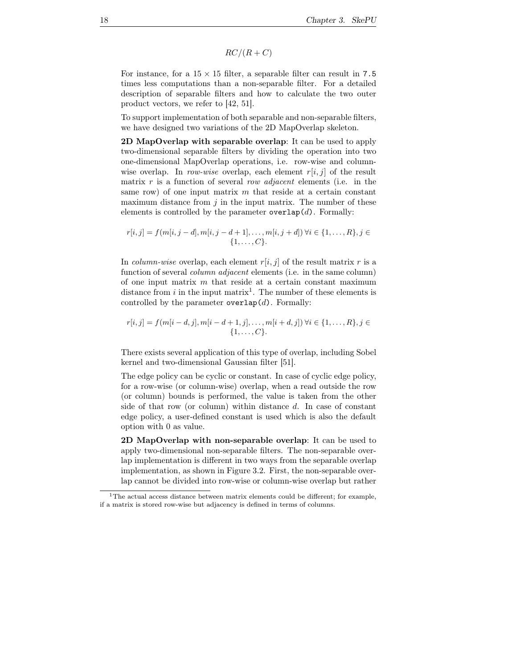$$
RC/(R+C)
$$

For instance, for a  $15 \times 15$  filter, a separable filter can result in 7.5 times less computations than a non-separable filter. For a detailed description of separable filters and how to calculate the two outer product vectors, we refer to [42, 51].

To support implementation of both separable and non-separable filters, we have designed two variations of the 2D MapOverlap skeleton.

2D MapOverlap with separable overlap: It can be used to apply two-dimensional separable filters by dividing the operation into two one-dimensional MapOverlap operations, i.e. row-wise and columnwise overlap. In row-wise overlap, each element  $r[i, j]$  of the result matrix  $r$  is a function of several row adjacent elements (i.e. in the same row) of one input matrix  $m$  that reside at a certain constant maximum distance from  $j$  in the input matrix. The number of these elements is controlled by the parameter  $overlap(d)$ . Formally:

$$
r[i,j] = f(m[i,j-d], m[i,j-d+1], \dots, m[i,j+d]) \,\forall i \in \{1, \dots, R\}, j \in \{1, \dots, C\}.
$$

In *column-wise* overlap, each element  $r[i, j]$  of the result matrix r is a function of several column adjacent elements (i.e. in the same column) of one input matrix  $m$  that reside at a certain constant maximum distance from i in the input matrix<sup>1</sup>. The number of these elements is controlled by the parameter  $overlap(d)$ . Formally:

$$
r[i,j] = f(m[i-d,j], m[i-d+1,j], \dots, m[i+d,j]) \,\forall i \in \{1, \dots, R\}, j \in \{1, \dots, C\}.
$$

There exists several application of this type of overlap, including Sobel kernel and two-dimensional Gaussian filter [51].

The edge policy can be cyclic or constant. In case of cyclic edge policy, for a row-wise (or column-wise) overlap, when a read outside the row (or column) bounds is performed, the value is taken from the other side of that row (or column) within distance d. In case of constant edge policy, a user-defined constant is used which is also the default option with 0 as value.

2D MapOverlap with non-separable overlap: It can be used to apply two-dimensional non-separable filters. The non-separable overlap implementation is different in two ways from the separable overlap implementation, as shown in Figure 3.2. First, the non-separable overlap cannot be divided into row-wise or column-wise overlap but rather

<sup>&</sup>lt;sup>1</sup>The actual access distance between matrix elements could be different; for example, if a matrix is stored row-wise but adjacency is defined in terms of columns.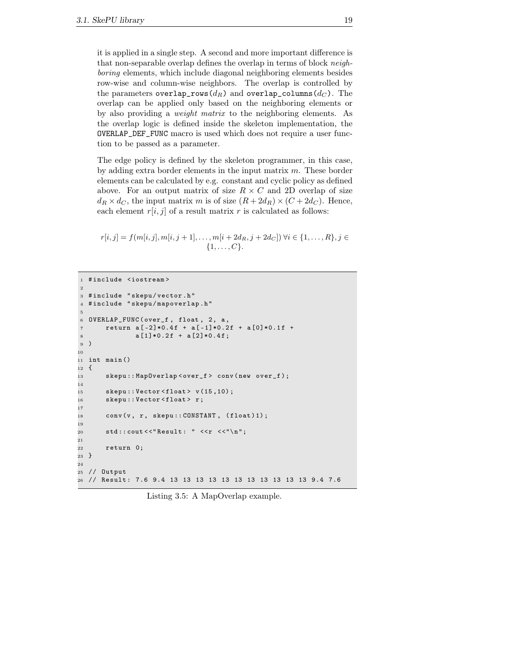it is applied in a single step. A second and more important difference is that non-separable overlap defines the overlap in terms of block neighboring elements, which include diagonal neighboring elements besides row-wise and column-wise neighbors. The overlap is controlled by the parameters overlap\_rows( $d_R$ ) and overlap\_columns( $d_C$ ). The overlap can be applied only based on the neighboring elements or by also providing a weight matrix to the neighboring elements. As the overlap logic is defined inside the skeleton implementation, the OVERLAP\_DEF\_FUNC macro is used which does not require a user function to be passed as a parameter.

The edge policy is defined by the skeleton programmer, in this case, by adding extra border elements in the input matrix m. These border elements can be calculated by e.g. constant and cyclic policy as defined above. For an output matrix of size  $R \times C$  and 2D overlap of size  $d_R \times d_C$ , the input matrix m is of size  $(R + 2d_R) \times (C + 2d_C)$ . Hence, each element  $r[i, j]$  of a result matrix r is calculated as follows:

 $r[i, j] = f(m[i, j], m[i, j + 1], \ldots, m[i + 2d_R, j + 2dc]) \forall i \in \{1, \ldots, R\}, j \in$  $\{1, \ldots, C\}.$ 

```
1 #include <iostream>
2
3 # include " skepu / vector .h"
4 # include " skepu / mapoverlap . h"
5
6 OVERLAP_FUNC ( over_f , float , 2, a ,
7 return a [-2]*0.4f + a[-1]*0.2f + a[0]*0.1f +8 a [1]*0.2f + a [2]*0.4f;
  )10
11 int main ()
12 {
13 skepu:: MapOverlap < over_f > conv (new over_f);
14
15 skepu:: Vector <float> v(15,10);
16 skepu:: Vector <float> r;
17
18 conv(v, r, skepu:: CONSTANT, (float)1);
19
20 std:: cout << " Result: " <<< << " \n ";
21
22 return 0;
23 }
24
25 // Output
26 // Result : 7.6 9.4 13 13 13 13 13 13 13 13 13 13 13 9.4 7.6
```
Listing 3.5: A MapOverlap example.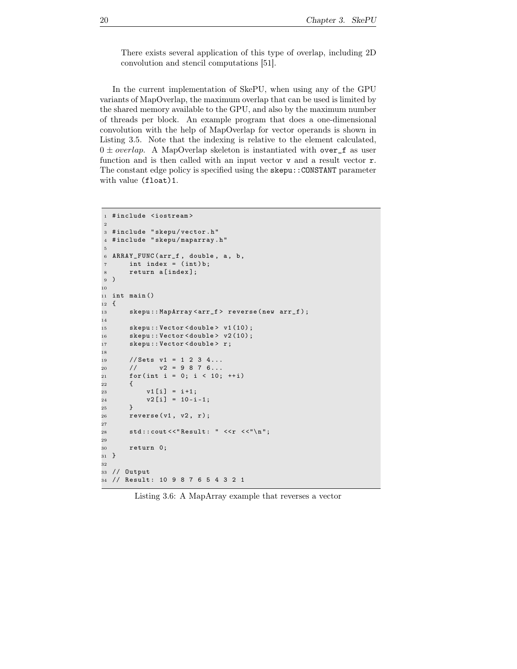There exists several application of this type of overlap, including 2D convolution and stencil computations [51].

In the current implementation of SkePU, when using any of the GPU variants of MapOverlap, the maximum overlap that can be used is limited by the shared memory available to the GPU, and also by the maximum number of threads per block. An example program that does a one-dimensional convolution with the help of MapOverlap for vector operands is shown in Listing 3.5. Note that the indexing is relative to the element calculated,  $0 \pm \overline{\omega}$  overlap. A MapOverlap skeleton is instantiated with over f as user function and is then called with an input vector v and a result vector r. The constant edge policy is specified using the skepu::CONSTANT parameter with value (float)1.

```
1 #include <iostream>
2
3 # include " skepu / vector .h"
4 # include " skepu / maparray .h "
5
6 ARRAY_FUNC (arr_f, double, a, b,
7 int index = ( int )b;
8 return a[index];
9 )
10
11 int main ()
12 {
13 skepu :: MapArray < arr_f > reverse ( new arr_f );
14
15 skepu:: Vector < double > v1(10);
16 skepu:: Vector < double > v2(10);
17 skepu:: Vector < double > r;
18
19 // Sets v1 = 1 2 3 4...<br>20 // v2 = 9 8 7 6...
20 \frac{1}{2} \frac{1}{2} \frac{1}{2} \frac{1}{2} \frac{1}{2} \frac{1}{2} \frac{1}{2} \frac{1}{2} \frac{1}{2} \frac{1}{2} \frac{1}{2} \frac{1}{2} \frac{1}{2} \frac{1}{2} \frac{1}{2} \frac{1}{2} \frac{1}{2} \frac{1}{2} \frac{1}{2} \frac{1}{2} \frac{1}{2} \frac{1}{2}21 for (int i = 0; i < 10; ++i)
22 \sim f
23 v1[i] = i+1;24 v2[i] = 10-i-1;<br>25 }
2526 reverse (v1, v2, r);
27
28 std:: cout << " Result: " << r << " \n";
29
30 return 0;
31 }
32
33 // Output
34 // Result : 10 9 8 7 6 5 4 3 2 1
```
Listing 3.6: A MapArray example that reverses a vector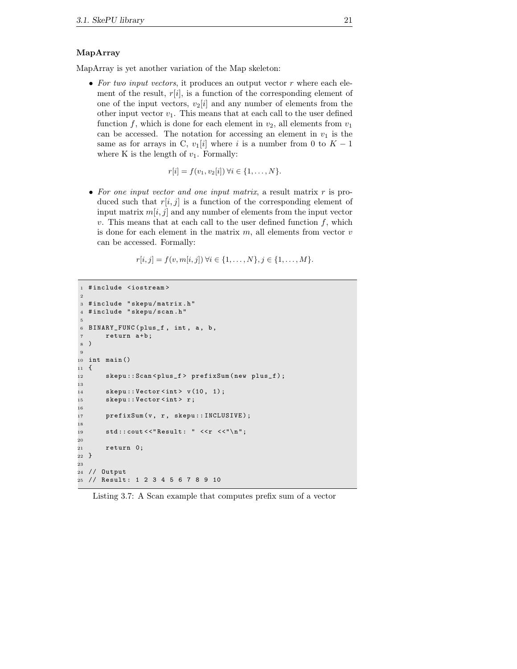#### MapArray

MapArray is yet another variation of the Map skeleton:

• For two input vectors, it produces an output vector  $r$  where each element of the result,  $r[i]$ , is a function of the corresponding element of one of the input vectors,  $v_2[i]$  and any number of elements from the other input vector  $v_1$ . This means that at each call to the user defined function f, which is done for each element in  $v_2$ , all elements from  $v_1$ can be accessed. The notation for accessing an element in  $v_1$  is the same as for arrays in C,  $v_1[i]$  where i is a number from 0 to  $K - 1$ where K is the length of  $v_1$ . Formally:

$$
r[i] = f(v_1, v_2[i]) \,\forall i \in \{1, \ldots, N\}.
$$

• For one input vector and one input matrix, a result matrix  $r$  is produced such that  $r[i, j]$  is a function of the corresponding element of input matrix  $m[i, j]$  and any number of elements from the input vector  $v$ . This means that at each call to the user defined function  $f$ , which is done for each element in the matrix  $m$ , all elements from vector  $v$ can be accessed. Formally:

 $r[i, j] = f(v, m[i, j]) \forall i \in \{1, \ldots, N\}, j \in \{1, \ldots, M\}.$ 

```
1 #include <iostream>
2
3 # include " skepu / matrix .h"
4 #include "skepu/scan.h"
5
6 BINARY_FUNC (plus_f, int, a, b,
\begin{array}{cc} 7 & \text{return } a+b \text{;} \\ 8 & \text{)} & \end{array}\lambda9
10 int main ()
11 {
12 skepu:: Scan < plus_f > prefixSum (new plus_f);
13
14 skepu:: Vector < int > v(10, 1);
15 skepu:: Vector <int> r;
16
17 prefixSum (v, r, skepu:: INCLUSIVE);
18
19 \quad std:: cout << " Result: " << r << "\n";
20
21 return 0;
22 }
23
24 // Output
25 // Result : 1 2 3 4 5 6 7 8 9 10
```
Listing 3.7: A Scan example that computes prefix sum of a vector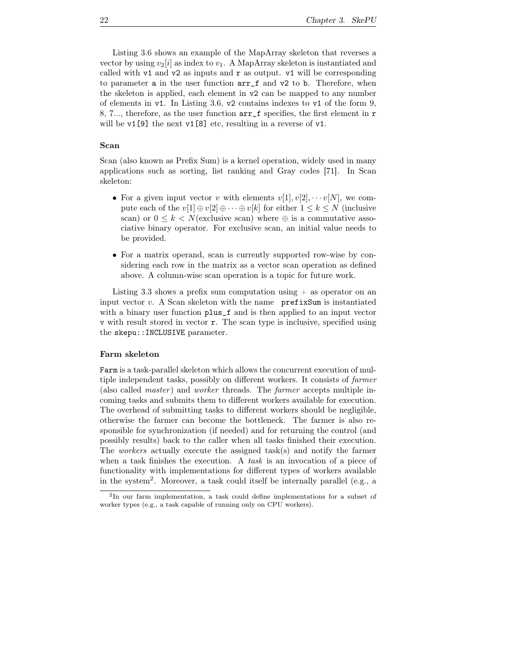Listing 3.6 shows an example of the MapArray skeleton that reverses a vector by using  $v_2[i]$  as index to  $v_1$ . A MapArray skeleton is instantiated and called with  $v1$  and  $v2$  as inputs and r as output.  $v1$  will be corresponding to parameter a in the user function arr\_f and v2 to b. Therefore, when the skeleton is applied, each element in  $\nu$ 2 can be mapped to any number of elements in v1. In Listing 3.6, v2 contains indexes to v1 of the form 9. 8, 7..., therefore, as the user function  $arr_f$  specifies, the first element in r will be v1[9] the next v1[8] etc, resulting in a reverse of v1.

#### Scan

Scan (also known as Prefix Sum) is a kernel operation, widely used in many applications such as sorting, list ranking and Gray codes [71]. In Scan skeleton:

- For a given input vector v with elements  $v[1], v[2], \cdots v[N]$ , we compute each of the  $v[1] \oplus v[2] \oplus \cdots \oplus v[k]$  for either  $1 \leq k \leq N$  (inclusive scan) or  $0 \leq k < N$  (exclusive scan) where  $\oplus$  is a commutative associative binary operator. For exclusive scan, an initial value needs to be provided.
- For a matrix operand, scan is currently supported row-wise by considering each row in the matrix as a vector scan operation as defined above. A column-wise scan operation is a topic for future work.

Listing 3.3 shows a prefix sum computation using  $+$  as operator on an input vector  $v$ . A Scan skeleton with the name  $\mathsf{prefixSum}$  is instantiated with a binary user function plus\_f and is then applied to an input vector v with result stored in vector r. The scan type is inclusive, specified using the skepu::INCLUSIVE parameter.

#### Farm skeleton

Farm is a task-parallel skeleton which allows the concurrent execution of multiple independent tasks, possibly on different workers. It consists of farmer (also called *master*) and *worker* threads. The *farmer* accepts multiple incoming tasks and submits them to different workers available for execution. The overhead of submitting tasks to different workers should be negligible, otherwise the farmer can become the bottleneck. The farmer is also responsible for synchronization (if needed) and for returning the control (and possibly results) back to the caller when all tasks finished their execution. The workers actually execute the assigned task(s) and notify the farmer when a task finishes the execution. A task is an invocation of a piece of functionality with implementations for different types of workers available in the system<sup>2</sup>. Moreover, a task could itself be internally parallel (e.g., a

<sup>2</sup>In our farm implementation, a task could define implementations for a subset of worker types (e.g., a task capable of running only on CPU workers).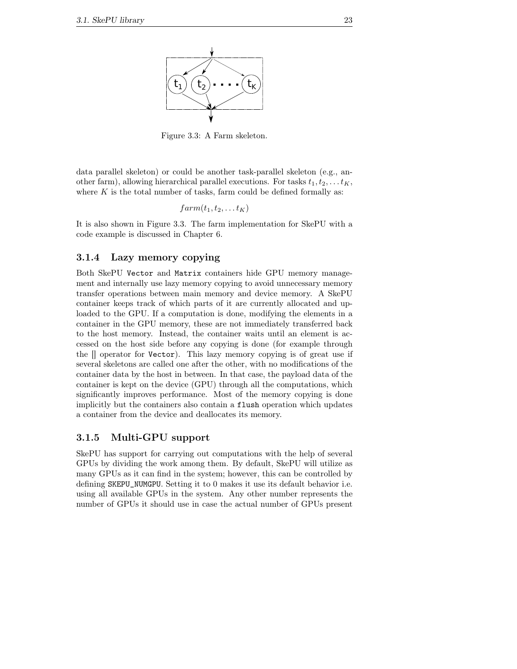

Figure 3.3: A Farm skeleton.

data parallel skeleton) or could be another task-parallel skeleton (e.g., another farm), allowing hierarchical parallel executions. For tasks  $t_1, t_2, \ldots t_K$ , where  $K$  is the total number of tasks, farm could be defined formally as:

$$
farm(t_1, t_2, \ldots t_K)
$$

It is also shown in Figure 3.3. The farm implementation for SkePU with a code example is discussed in Chapter 6.

### 3.1.4 Lazy memory copying

Both SkePU Vector and Matrix containers hide GPU memory management and internally use lazy memory copying to avoid unnecessary memory transfer operations between main memory and device memory. A SkePU container keeps track of which parts of it are currently allocated and uploaded to the GPU. If a computation is done, modifying the elements in a container in the GPU memory, these are not immediately transferred back to the host memory. Instead, the container waits until an element is accessed on the host side before any copying is done (for example through the [] operator for Vector). This lazy memory copying is of great use if several skeletons are called one after the other, with no modifications of the container data by the host in between. In that case, the payload data of the container is kept on the device (GPU) through all the computations, which significantly improves performance. Most of the memory copying is done implicitly but the containers also contain a flush operation which updates a container from the device and deallocates its memory.

## 3.1.5 Multi-GPU support

SkePU has support for carrying out computations with the help of several GPUs by dividing the work among them. By default, SkePU will utilize as many GPUs as it can find in the system; however, this can be controlled by defining SKEPU\_NUMGPU. Setting it to 0 makes it use its default behavior i.e. using all available GPUs in the system. Any other number represents the number of GPUs it should use in case the actual number of GPUs present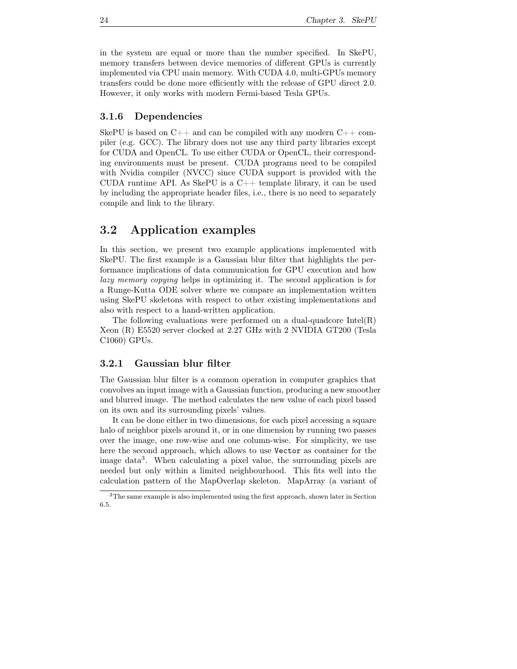in the system are equal or more than the number specified. In SkePU, memory transfers between device memories of different GPUs is currently implemented via CPU main memory. With CUDA 4.0, multi-GPUs memory transfers could be done more efficiently with the release of GPU direct 2.0. However, it only works with modern Fermi-based Tesla GPUs.

## 3.1.6 Dependencies

SkePU is based on  $C_{++}$  and can be compiled with any modern  $C_{++}$  compiler (e.g. GCC). The library does not use any third party libraries except for CUDA and OpenCL. To use either CUDA or OpenCL, their corresponding environments must be present. CUDA programs need to be compiled with Nvidia compiler (NVCC) since CUDA support is provided with the CUDA runtime API. As SkePU is a  $C_{++}$  template library, it can be used by including the appropriate header files, i.e., there is no need to separately compile and link to the library.

## 3.2 Application examples

In this section, we present two example applications implemented with SkePU. The first example is a Gaussian blur filter that highlights the performance implications of data communication for GPU execution and how lazy memory copying helps in optimizing it. The second application is for a Runge-Kutta ODE solver where we compare an implementation written using SkePU skeletons with respect to other existing implementations and also with respect to a hand-written application.

The following evaluations were performed on a dual-quadcore  $Intel(R)$ Xeon (R) E5520 server clocked at 2.27 GHz with 2 NVIDIA GT200 (Tesla C1060) GPUs.

### 3.2.1 Gaussian blur filter

The Gaussian blur filter is a common operation in computer graphics that convolves an input image with a Gaussian function, producing a new smoother and blurred image. The method calculates the new value of each pixel based on its own and its surrounding pixels' values.

It can be done either in two dimensions, for each pixel accessing a square halo of neighbor pixels around it, or in one dimension by running two passes over the image, one row-wise and one column-wise. For simplicity, we use here the second approach, which allows to use Vector as container for the image data<sup>3</sup>. When calculating a pixel value, the surrounding pixels are needed but only within a limited neighbourhood. This fits well into the calculation pattern of the MapOverlap skeleton. MapArray (a variant of

<sup>3</sup>The same example is also implemented using the first approach, shown later in Section 6.5.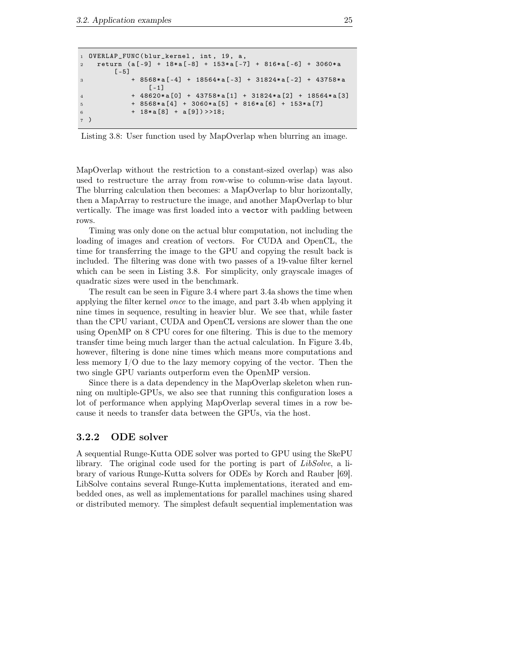```
1 OVERLAP_FUNC(blur_kernel, int, 19, a,
2 return (a [-9] + 18*a[-8] + 153*a[-7] + 816*a[-6] + 3060*a[-5]3 + 8568* a [ -4] + 18564* a [ -3] + 31824* a [ -2] + 43758* a
                 \[ -1]4 + 48620 * a [0] + 43758 * a [1] + 31824 * a [2] + 18564 * a [3]5 + 8568*a[4] + 3060*a[5] + 816*a[6] + 153*a[7]<br>6 + 18*a[8] + a[9]) >> 18;6 + 18* a [8] + a [9]) > >18;
7 )
```
Listing 3.8: User function used by MapOverlap when blurring an image.

MapOverlap without the restriction to a constant-sized overlap) was also used to restructure the array from row-wise to column-wise data layout. The blurring calculation then becomes: a MapOverlap to blur horizontally, then a MapArray to restructure the image, and another MapOverlap to blur vertically. The image was first loaded into a vector with padding between rows.

Timing was only done on the actual blur computation, not including the loading of images and creation of vectors. For CUDA and OpenCL, the time for transferring the image to the GPU and copying the result back is included. The filtering was done with two passes of a 19-value filter kernel which can be seen in Listing 3.8. For simplicity, only grayscale images of quadratic sizes were used in the benchmark.

The result can be seen in Figure 3.4 where part 3.4a shows the time when applying the filter kernel once to the image, and part 3.4b when applying it nine times in sequence, resulting in heavier blur. We see that, while faster than the CPU variant, CUDA and OpenCL versions are slower than the one using OpenMP on 8 CPU cores for one filtering. This is due to the memory transfer time being much larger than the actual calculation. In Figure 3.4b, however, filtering is done nine times which means more computations and less memory I/O due to the lazy memory copying of the vector. Then the two single GPU variants outperform even the OpenMP version.

Since there is a data dependency in the MapOverlap skeleton when running on multiple-GPUs, we also see that running this configuration loses a lot of performance when applying MapOverlap several times in a row because it needs to transfer data between the GPUs, via the host.

## 3.2.2 ODE solver

A sequential Runge-Kutta ODE solver was ported to GPU using the SkePU library. The original code used for the porting is part of  $LibSolve$ , a library of various Runge-Kutta solvers for ODEs by Korch and Rauber [69]. LibSolve contains several Runge-Kutta implementations, iterated and embedded ones, as well as implementations for parallel machines using shared or distributed memory. The simplest default sequential implementation was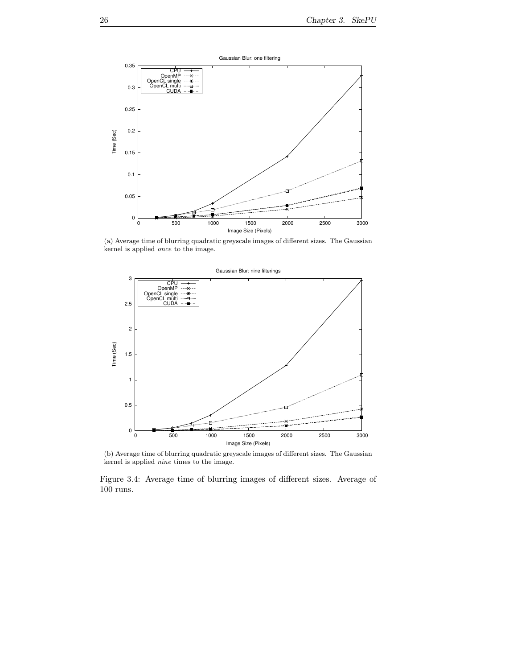

(a) Average time of blurring quadratic greyscale images of different sizes. The Gaussian kernel is applied once to the image.



(b) Average time of blurring quadratic greyscale images of different sizes. The Gaussian kernel is applied nine times to the image.

Figure 3.4: Average time of blurring images of different sizes. Average of 100 runs.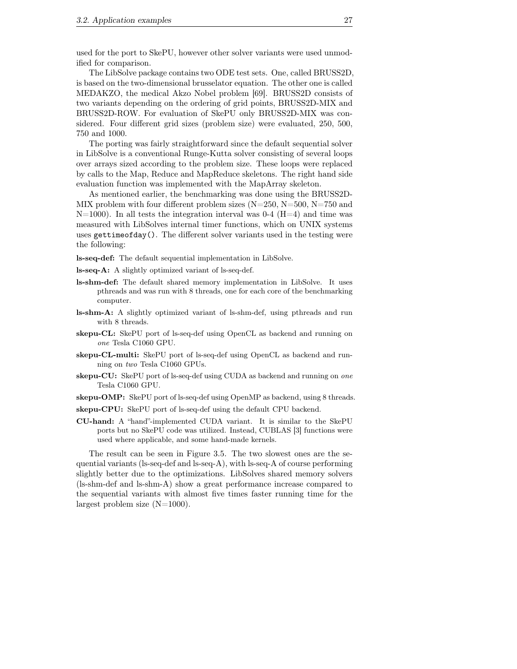used for the port to SkePU, however other solver variants were used unmodified for comparison.

The LibSolve package contains two ODE test sets. One, called BRUSS2D, is based on the two-dimensional brusselator equation. The other one is called MEDAKZO, the medical Akzo Nobel problem [69]. BRUSS2D consists of two variants depending on the ordering of grid points, BRUSS2D-MIX and BRUSS2D-ROW. For evaluation of SkePU only BRUSS2D-MIX was considered. Four different grid sizes (problem size) were evaluated, 250, 500, 750 and 1000.

The porting was fairly straightforward since the default sequential solver in LibSolve is a conventional Runge-Kutta solver consisting of several loops over arrays sized according to the problem size. These loops were replaced by calls to the Map, Reduce and MapReduce skeletons. The right hand side evaluation function was implemented with the MapArray skeleton.

As mentioned earlier, the benchmarking was done using the BRUSS2D-MIX problem with four different problem sizes  $(N=250, N=500, N=750, N=750)$  $N=1000$ . In all tests the integration interval was 0-4 (H=4) and time was measured with LibSolves internal timer functions, which on UNIX systems uses gettimeofday(). The different solver variants used in the testing were the following:

ls-seq-def: The default sequential implementation in LibSolve.

ls-seq-A: A slightly optimized variant of ls-seq-def.

- ls-shm-def: The default shared memory implementation in LibSolve. It uses pthreads and was run with 8 threads, one for each core of the benchmarking computer.
- ls-shm-A: A slightly optimized variant of ls-shm-def, using pthreads and run with 8 threads.
- skepu-CL: SkePU port of ls-seq-def using OpenCL as backend and running on one Tesla C1060 GPU.
- skepu-CL-multi: SkePU port of ls-seq-def using OpenCL as backend and running on two Tesla C1060 GPUs.
- skepu-CU: SkePU port of ls-seq-def using CUDA as backend and running on one Tesla C1060 GPU.

skepu-OMP: SkePU port of ls-seq-def using OpenMP as backend, using 8 threads.

- skepu-CPU: SkePU port of ls-seq-def using the default CPU backend.
- CU-hand: A "hand"-implemented CUDA variant. It is similar to the SkePU ports but no SkePU code was utilized. Instead, CUBLAS [3] functions were used where applicable, and some hand-made kernels.

The result can be seen in Figure 3.5. The two slowest ones are the sequential variants (ls-seq-def and ls-seq-A), with ls-seq-A of course performing slightly better due to the optimizations. LibSolves shared memory solvers (ls-shm-def and ls-shm-A) show a great performance increase compared to the sequential variants with almost five times faster running time for the largest problem size  $(N=1000)$ .